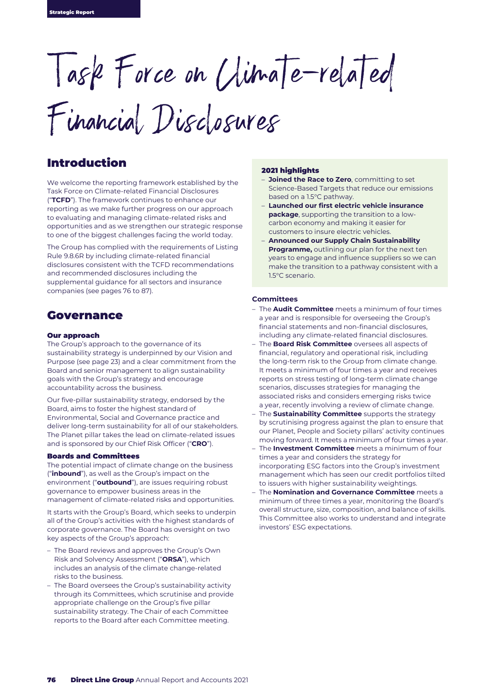Task Force on Climate-related

Financial Disclosures

## Introduction

We welcome the reporting framework established by the Task Force on Climate-related Financial Disclosures ("**TCFD**"). The framework continues to enhance our reporting as we make further progress on our approach to evaluating and managing climate-related risks and opportunities and as we strengthen our strategic response to one of the biggest challenges facing the world today.

The Group has complied with the requirements of Listing Rule 9.8.6R by including climate-related financial disclosures consistent with the TCFD recommendations and recommended disclosures including the supplemental guidance for all sectors and insurance companies (see pages 76 to 87).

## Governance

#### Our approach

The Group's approach to the governance of its sustainability strategy is underpinned by our Vision and Purpose (see page 23) and a clear commitment from the Board and senior management to align sustainability goals with the Group's strategy and encourage accountability across the business.

Our five-pillar sustainability strategy, endorsed by the Board, aims to foster the highest standard of Environmental, Social and Governance practice and deliver long-term sustainability for all of our stakeholders. The Planet pillar takes the lead on climate-related issues and is sponsored by our Chief Risk Officer ("**CRO**").

#### Boards and Committees

The potential impact of climate change on the business ("**inbound**"), as well as the Group's impact on the environment ("**outbound**"), are issues requiring robust governance to empower business areas in the management of climate-related risks and opportunities.

It starts with the Group's Board, which seeks to underpin all of the Group's activities with the highest standards of corporate governance. The Board has oversight on two key aspects of the Group's approach:

- The Board reviews and approves the Group's Own Risk and Solvency Assessment ("**ORSA**"), which includes an analysis of the climate change-related risks to the business.
- The Board oversees the Group's sustainability activity through its Committees, which scrutinise and provide appropriate challenge on the Group's five pillar sustainability strategy. The Chair of each Committee reports to the Board after each Committee meeting.

#### 2021 highlights

- **Joined the Race to Zero**, committing to set Science-Based Targets that reduce our emissions based on a 1.5°C pathway.
- **Launched our first electric vehicle insurance package**, supporting the transition to a lowcarbon economy and making it easier for customers to insure electric vehicles.
- **Announced our Supply Chain Sustainability Programme,** outlining our plan for the next ten years to engage and influence suppliers so we can make the transition to a pathway consistent with a 1.5°C scenario.

#### **Committees**

- The **Audit Committee** meets a minimum of four times a year and is responsible for overseeing the Group's financial statements and non-financial disclosures, including any climate-related financial disclosures.
- The **Board Risk Committee** oversees all aspects of financial, regulatory and operational risk, including the long-term risk to the Group from climate change. It meets a minimum of four times a year and receives reports on stress testing of long-term climate change scenarios, discusses strategies for managing the associated risks and considers emerging risks twice a year, recently involving a review of climate change.
- The **Sustainability Committee** supports the strategy by scrutinising progress against the plan to ensure that our Planet, People and Society pillars' activity continues moving forward. It meets a minimum of four times a year.
- The **Investment Committee** meets a minimum of four times a year and considers the strategy for incorporating ESG factors into the Group's investment management which has seen our credit portfolios tilted to issuers with higher sustainability weightings.
- The **Nomination and Governance Committee** meets a minimum of three times a year, monitoring the Board's overall structure, size, composition, and balance of skills. This Committee also works to understand and integrate investors' ESG expectations.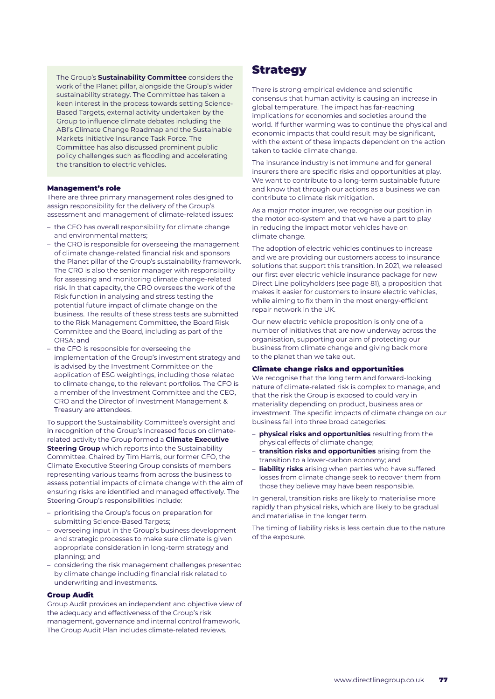The Group's **Sustainability Committee** considers the work of the Planet pillar, alongside the Group's wider sustainability strategy. The Committee has taken a keen interest in the process towards setting Science-Based Targets, external activity undertaken by the Group to influence climate debates including the ABI's Climate Change Roadmap and the Sustainable Markets Initiative Insurance Task Force. The Committee has also discussed prominent public policy challenges such as flooding and accelerating the transition to electric vehicles.

#### Management's role

There are three primary management roles designed to assign responsibility for the delivery of the Group's assessment and management of climate-related issues:

- the CEO has overall responsibility for climate change and environmental matters;
- the CRO is responsible for overseeing the management of climate change-related financial risk and sponsors the Planet pillar of the Group's sustainability framework. The CRO is also the senior manager with responsibility for assessing and monitoring climate change-related risk. In that capacity, the CRO oversees the work of the Risk function in analysing and stress testing the potential future impact of climate change on the business. The results of these stress tests are submitted to the Risk Management Committee, the Board Risk Committee and the Board, including as part of the ORSA; and
- the CFO is responsible for overseeing the implementation of the Group's investment strategy and is advised by the Investment Committee on the application of ESG weightings, including those related to climate change, to the relevant portfolios. The CFO is a member of the Investment Committee and the CEO, CRO and the Director of Investment Management & Treasury are attendees.

To support the Sustainability Committee's oversight and in recognition of the Group's increased focus on climaterelated activity the Group formed a **Climate Executive Steering Group** which reports into the Sustainability Committee. Chaired by Tim Harris, our former CFO, the Climate Executive Steering Group consists of members representing various teams from across the business to assess potential impacts of climate change with the aim of ensuring risks are identified and managed effectively. The Steering Group's responsibilities include:

- prioritising the Group's focus on preparation for submitting Science-Based Targets;
- overseeing input in the Group's business development and strategic processes to make sure climate is given appropriate consideration in long-term strategy and planning; and
- considering the risk management challenges presented by climate change including financial risk related to underwriting and investments.

#### Group Audit

Group Audit provides an independent and objective view of the adequacy and effectiveness of the Group's risk management, governance and internal control framework. The Group Audit Plan includes climate-related reviews.

## Strategy

There is strong empirical evidence and scientific consensus that human activity is causing an increase in global temperature. The impact has far-reaching implications for economies and societies around the world. If further warming was to continue the physical and economic impacts that could result may be significant, with the extent of these impacts dependent on the action taken to tackle climate change.

The insurance industry is not immune and for general insurers there are specific risks and opportunities at play. We want to contribute to a long-term sustainable future and know that through our actions as a business we can contribute to climate risk mitigation.

As a major motor insurer, we recognise our position in the motor eco-system and that we have a part to play in reducing the impact motor vehicles have on climate change.

The adoption of electric vehicles continues to increase and we are providing our customers access to insurance solutions that support this transition. In 2021, we released our first ever electric vehicle insurance package for new Direct Line policyholders (see page 81), a proposition that makes it easier for customers to insure electric vehicles, while aiming to fix them in the most energy-efficient repair network in the UK.

Our new electric vehicle proposition is only one of a number of initiatives that are now underway across the organisation, supporting our aim of protecting our business from climate change and giving back more to the planet than we take out.

#### Climate change risks and opportunities

We recognise that the long term and forward-looking nature of climate-related risk is complex to manage, and that the risk the Group is exposed to could vary in materiality depending on product, business area or investment. The specific impacts of climate change on our business fall into three broad categories:

- **physical risks and opportunities** resulting from the physical effects of climate change;
- **transition risks and opportunities** arising from the transition to a lower-carbon economy; and
- **liability risks** arising when parties who have suffered losses from climate change seek to recover them from those they believe may have been responsible.

In general, transition risks are likely to materialise more rapidly than physical risks, which are likely to be gradual and materialise in the longer term.

The timing of liability risks is less certain due to the nature of the exposure.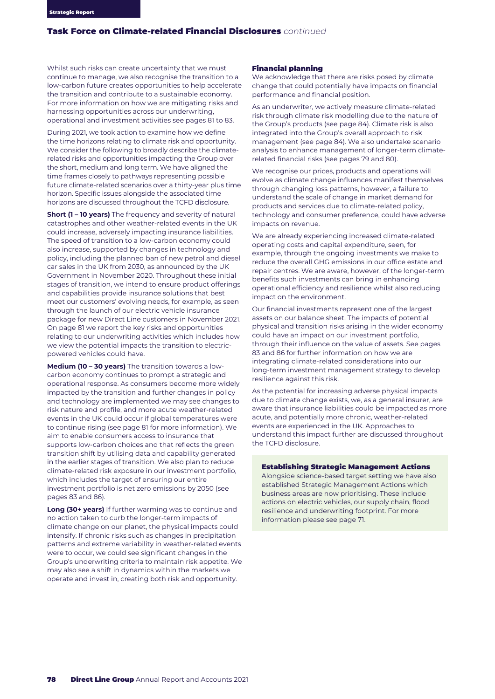Whilst such risks can create uncertainty that we must continue to manage, we also recognise the transition to a low-carbon future creates opportunities to help accelerate the transition and contribute to a sustainable economy. For more information on how we are mitigating risks and harnessing opportunities across our underwriting, operational and investment activities see pages 81 to 83.

During 2021, we took action to examine how we define the time horizons relating to climate risk and opportunity. We consider the following to broadly describe the climaterelated risks and opportunities impacting the Group over the short, medium and long term. We have aligned the time frames closely to pathways representing possible future climate-related scenarios over a thirty-year plus time horizon. Specific issues alongside the associated time horizons are discussed throughout the TCFD disclosure.

**Short (1 – 10 years)** The frequency and severity of natural catastrophes and other weather-related events in the UK could increase, adversely impacting insurance liabilities. The speed of transition to a low-carbon economy could also increase, supported by changes in technology and policy, including the planned ban of new petrol and diesel car sales in the UK from 2030, as announced by the UK Government in November 2020. Throughout these initial stages of transition, we intend to ensure product offerings and capabilities provide insurance solutions that best meet our customers' evolving needs, for example, as seen through the launch of our electric vehicle insurance package for new Direct Line customers in November 2021. On page 81 we report the key risks and opportunities relating to our underwriting activities which includes how we view the potential impacts the transition to electricpowered vehicles could have.

**Medium (10 – 30 years)** The transition towards a lowcarbon economy continues to prompt a strategic and operational response. As consumers become more widely impacted by the transition and further changes in policy and technology are implemented we may see changes to risk nature and profile, and more acute weather-related events in the UK could occur if global temperatures were to continue rising (see page 81 for more information). We aim to enable consumers access to insurance that supports low-carbon choices and that reflects the green transition shift by utilising data and capability generated in the earlier stages of transition. We also plan to reduce climate-related risk exposure in our investment portfolio, which includes the target of ensuring our entire investment portfolio is net zero emissions by 2050 (see pages 83 and 86).

**Long (30+ years)** If further warming was to continue and no action taken to curb the longer-term impacts of climate change on our planet, the physical impacts could intensify. If chronic risks such as changes in precipitation patterns and extreme variability in weather-related events were to occur, we could see significant changes in the Group's underwriting criteria to maintain risk appetite. We may also see a shift in dynamics within the markets we operate and invest in, creating both risk and opportunity.

## Financial planning

We acknowledge that there are risks posed by climate change that could potentially have impacts on financial performance and financial position.

As an underwriter, we actively measure climate-related risk through climate risk modelling due to the nature of the Group's products (see page 84). Climate risk is also integrated into the Group's overall approach to risk management (see page 84). We also undertake scenario analysis to enhance management of longer-term climaterelated financial risks (see pages 79 and 80).

We recognise our prices, products and operations will evolve as climate change influences manifest themselves through changing loss patterns, however, a failure to understand the scale of change in market demand for products and services due to climate-related policy, technology and consumer preference, could have adverse impacts on revenue.

We are already experiencing increased climate-related operating costs and capital expenditure, seen, for example, through the ongoing investments we make to reduce the overall GHG emissions in our office estate and repair centres. We are aware, however, of the longer-term benefits such investments can bring in enhancing operational efficiency and resilience whilst also reducing impact on the environment.

Our financial investments represent one of the largest assets on our balance sheet. The impacts of potential physical and transition risks arising in the wider economy could have an impact on our investment portfolio, through their influence on the value of assets. See pages 83 and 86 for further information on how we are integrating climate-related considerations into our long-term investment management strategy to develop resilience against this risk.

As the potential for increasing adverse physical impacts due to climate change exists, we, as a general insurer, are aware that insurance liabilities could be impacted as more acute, and potentially more chronic, weather-related events are experienced in the UK. Approaches to understand this impact further are discussed throughout the TCFD disclosure.

#### Establishing Strategic Management Actions

Alongside science-based target setting we have also established Strategic Management Actions which business areas are now prioritising. These include actions on electric vehicles, our supply chain, flood resilience and underwriting footprint. For more information please see page 71.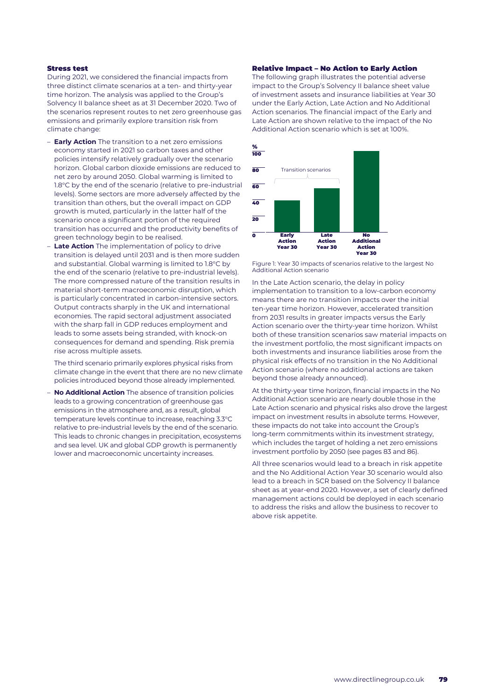## Stress test

During 2021, we considered the financial impacts from three distinct climate scenarios at a ten- and thirty-year time horizon. The analysis was applied to the Group's Solvency II balance sheet as at 31 December 2020. Two of the scenarios represent routes to net zero greenhouse gas emissions and primarily explore transition risk from climate change:

- **Early Action** The transition to a net zero emissions economy started in 2021 so carbon taxes and other policies intensify relatively gradually over the scenario horizon. Global carbon dioxide emissions are reduced to net zero by around 2050. Global warming is limited to 1.8°C by the end of the scenario (relative to pre-industrial levels). Some sectors are more adversely affected by the transition than others, but the overall impact on GDP growth is muted, particularly in the latter half of the scenario once a significant portion of the required transition has occurred and the productivity benefits of green technology begin to be realised.
- **Late Action** The implementation of policy to drive transition is delayed until 2031 and is then more sudden and substantial. Global warming is limited to 1.8°C by the end of the scenario (relative to pre-industrial levels). The more compressed nature of the transition results in material short-term macroeconomic disruption, which is particularly concentrated in carbon-intensive sectors. Output contracts sharply in the UK and international economies. The rapid sectoral adjustment associated with the sharp fall in GDP reduces employment and leads to some assets being stranded, with knock-on consequences for demand and spending. Risk premia rise across multiple assets.

The third scenario primarily explores physical risks from climate change in the event that there are no new climate policies introduced beyond those already implemented.

– **No Additional Action** The absence of transition policies leads to a growing concentration of greenhouse gas emissions in the atmosphere and, as a result, global temperature levels continue to increase, reaching 3.3°C relative to pre-industrial levels by the end of the scenario. This leads to chronic changes in precipitation, ecosystems and sea level. UK and global GDP growth is permanently lower and macroeconomic uncertainty increases.

#### Relative Impact – No Action to Early Action

The following graph illustrates the potential adverse impact to the Group's Solvency II balance sheet value of investment assets and insurance liabilities at Year 30 under the Early Action, Late Action and No Additional Action scenarios. The financial impact of the Early and Late Action are shown relative to the impact of the No Additional Action scenario which is set at 100%.



Figure 1: Year 30 impacts of scenarios relative to the largest No Additional Action scenario

In the Late Action scenario, the delay in policy implementation to transition to a low-carbon economy means there are no transition impacts over the initial ten-year time horizon. However, accelerated transition from 2031 results in greater impacts versus the Early Action scenario over the thirty-year time horizon. Whilst both of these transition scenarios saw material impacts on the investment portfolio, the most significant impacts on both investments and insurance liabilities arose from the physical risk effects of no transition in the No Additional Action scenario (where no additional actions are taken beyond those already announced).

At the thirty-year time horizon, financial impacts in the No Additional Action scenario are nearly double those in the Late Action scenario and physical risks also drove the largest impact on investment results in absolute terms. However, these impacts do not take into account the Group's long-term commitments within its investment strategy, which includes the target of holding a net zero emissions investment portfolio by 2050 (see pages 83 and 86).

All three scenarios would lead to a breach in risk appetite and the No Additional Action Year 30 scenario would also lead to a breach in SCR based on the Solvency II balance sheet as at year-end 2020. However, a set of clearly defined management actions could be deployed in each scenario to address the risks and allow the business to recover to above risk appetite.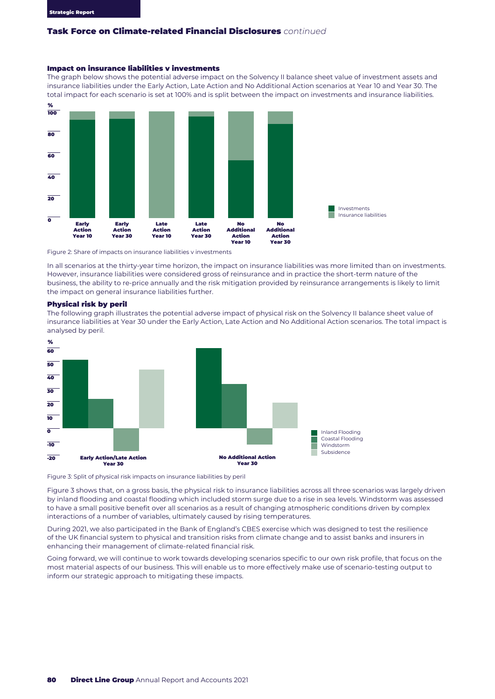### Impact on insurance liabilities v investments

The graph below shows the potential adverse impact on the Solvency II balance sheet value of investment assets and insurance liabilities under the Early Action, Late Action and No Additional Action scenarios at Year 10 and Year 30. The total impact for each scenario is set at 100% and is split between the impact on investments and insurance liabilities.



Figure 2: Share of impacts on insurance liabilities v investments

In all scenarios at the thirty-year time horizon, the impact on insurance liabilities was more limited than on investments. However, insurance liabilities were considered gross of reinsurance and in practice the short-term nature of the business, the ability to re-price annually and the risk mitigation provided by reinsurance arrangements is likely to limit the impact on general insurance liabilities further.

#### Physical risk by peril

The following graph illustrates the potential adverse impact of physical risk on the Solvency II balance sheet value of insurance liabilities at Year 30 under the Early Action, Late Action and No Additional Action scenarios. The total impact is analysed by peril.



Figure 3: Split of physical risk impacts on insurance liabilities by peril

Figure 3 shows that, on a gross basis, the physical risk to insurance liabilities across all three scenarios was largely driven by inland flooding and coastal flooding which included storm surge due to a rise in sea levels. Windstorm was assessed to have a small positive benefit over all scenarios as a result of changing atmospheric conditions driven by complex interactions of a number of variables, ultimately caused by rising temperatures.

During 2021, we also participated in the Bank of England's CBES exercise which was designed to test the resilience of the UK financial system to physical and transition risks from climate change and to assist banks and insurers in enhancing their management of climate-related financial risk.

Going forward, we will continue to work towards developing scenarios specific to our own risk profile, that focus on the most material aspects of our business. This will enable us to more effectively make use of scenario-testing output to inform our strategic approach to mitigating these impacts.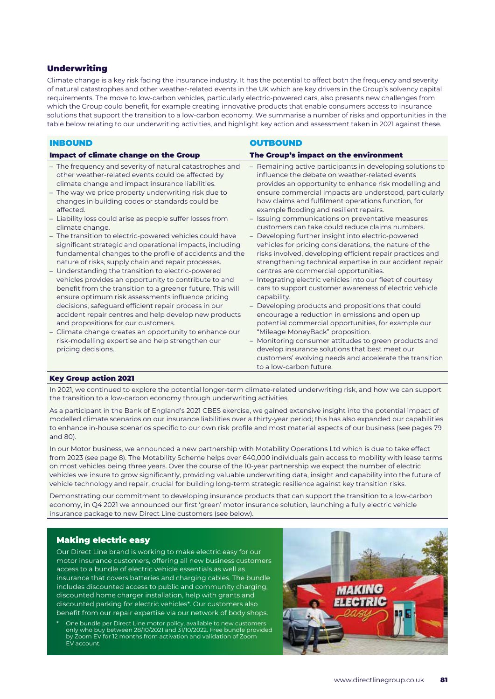## **Underwriting**

Climate change is a key risk facing the insurance industry. It has the potential to affect both the frequency and severity of natural catastrophes and other weather-related events in the UK which are key drivers in the Group's solvency capital requirements. The move to low-carbon vehicles, particularly electric-powered cars, also presents new challenges from which the Group could benefit, for example creating innovative products that enable consumers access to insurance solutions that support the transition to a low-carbon economy. We summarise a number of risks and opportunities in the table below relating to our underwriting activities, and highlight key action and assessment taken in 2021 against these.

| <b>INBOUND</b>                                                                                                                                                                                                                                                                                                                                                                                                                                                                                                                                                                                                                                                                                                                                                                                                                                                                                                                                                                                                                                                                                                                                    | <b>OUTBOUND</b>                                                                                                                                                                                                                                                                                                                                                                                                                                                                                                                                                                                                                                                                                                                                                                                                                                                                                                                                                                                                                                                                                                                                                                                                                           |
|---------------------------------------------------------------------------------------------------------------------------------------------------------------------------------------------------------------------------------------------------------------------------------------------------------------------------------------------------------------------------------------------------------------------------------------------------------------------------------------------------------------------------------------------------------------------------------------------------------------------------------------------------------------------------------------------------------------------------------------------------------------------------------------------------------------------------------------------------------------------------------------------------------------------------------------------------------------------------------------------------------------------------------------------------------------------------------------------------------------------------------------------------|-------------------------------------------------------------------------------------------------------------------------------------------------------------------------------------------------------------------------------------------------------------------------------------------------------------------------------------------------------------------------------------------------------------------------------------------------------------------------------------------------------------------------------------------------------------------------------------------------------------------------------------------------------------------------------------------------------------------------------------------------------------------------------------------------------------------------------------------------------------------------------------------------------------------------------------------------------------------------------------------------------------------------------------------------------------------------------------------------------------------------------------------------------------------------------------------------------------------------------------------|
| <b>Impact of climate change on the Group</b>                                                                                                                                                                                                                                                                                                                                                                                                                                                                                                                                                                                                                                                                                                                                                                                                                                                                                                                                                                                                                                                                                                      | The Group's impact on the environment                                                                                                                                                                                                                                                                                                                                                                                                                                                                                                                                                                                                                                                                                                                                                                                                                                                                                                                                                                                                                                                                                                                                                                                                     |
| - The frequency and severity of natural catastrophes and<br>other weather-related events could be affected by<br>climate change and impact insurance liabilities.<br>- The way we price property underwriting risk due to<br>changes in building codes or standards could be<br>affected.<br>- Liability loss could arise as people suffer losses from<br>climate change.<br>- The transition to electric-powered vehicles could have<br>significant strategic and operational impacts, including<br>fundamental changes to the profile of accidents and the<br>nature of risks, supply chain and repair processes.<br>- Understanding the transition to electric-powered<br>vehicles provides an opportunity to contribute to and<br>benefit from the transition to a greener future. This will<br>ensure optimum risk assessments influence pricing<br>decisions, safeguard efficient repair process in our<br>accident repair centres and help develop new products<br>and propositions for our customers.<br>- Climate change creates an opportunity to enhance our<br>risk-modelling expertise and help strengthen our<br>pricing decisions. | - Remaining active participants in developing solutions to<br>influence the debate on weather-related events<br>provides an opportunity to enhance risk modelling and<br>ensure commercial impacts are understood, particularly<br>how claims and fulfilment operations function, for<br>example flooding and resilient repairs.<br>- Issuing communications on preventative measures<br>customers can take could reduce claims numbers.<br>- Developing further insight into electric-powered<br>vehicles for pricing considerations, the nature of the<br>risks involved, developing efficient repair practices and<br>strengthening technical expertise in our accident repair<br>centres are commercial opportunities.<br>- Integrating electric vehicles into our fleet of courtesy<br>cars to support customer awareness of electric vehicle<br>capability.<br>- Developing products and propositions that could<br>encourage a reduction in emissions and open up<br>potential commercial opportunities, for example our<br>"Mileage MoneyBack" proposition.<br>- Monitoring consumer attitudes to green products and<br>develop insurance solutions that best meet our<br>customers' evolving needs and accelerate the transition |
|                                                                                                                                                                                                                                                                                                                                                                                                                                                                                                                                                                                                                                                                                                                                                                                                                                                                                                                                                                                                                                                                                                                                                   | to a low-carbon future.                                                                                                                                                                                                                                                                                                                                                                                                                                                                                                                                                                                                                                                                                                                                                                                                                                                                                                                                                                                                                                                                                                                                                                                                                   |

## Key Group action 2021

In 2021, we continued to explore the potential longer-term climate-related underwriting risk, and how we can support the transition to a low-carbon economy through underwriting activities.

As a participant in the Bank of England's 2021 CBES exercise, we gained extensive insight into the potential impact of modelled climate scenarios on our insurance liabilities over a thirty-year period; this has also expanded our capabilities to enhance in-house scenarios specific to our own risk profile and most material aspects of our business (see pages 79 and 80).

In our Motor business, we announced a new partnership with Motability Operations Ltd which is due to take effect from 2023 (see page 8). The Motability Scheme helps over 640,000 individuals gain access to mobility with lease terms on most vehicles being three years. Over the course of the 10-year partnership we expect the number of electric vehicles we insure to grow significantly, providing valuable underwriting data, insight and capability into the future of vehicle technology and repair, crucial for building long-term strategic resilience against key transition risks.

Demonstrating our commitment to developing insurance products that can support the transition to a low-carbon economy, in Q4 2021 we announced our first 'green' motor insurance solution, launching a fully electric vehicle insurance package to new Direct Line customers (see below).

## Making electric easy

Our Direct Line brand is working to make electric easy for our motor insurance customers, offering all new business customers access to a bundle of electric vehicle essentials as well as insurance that covers batteries and charging cables. The bundle includes discounted access to public and community charging, discounted home charger installation, help with grants and discounted parking for electric vehicles\*. Our customers also benefit from our repair expertise via our network of body shops.

\* One bundle per Direct Line motor policy, available to new customers only who buy between 28/10/2021 and 31/10/2022. Free bundle provided by Zoom EV for 12 months from activation and validation of Zoom EV account.

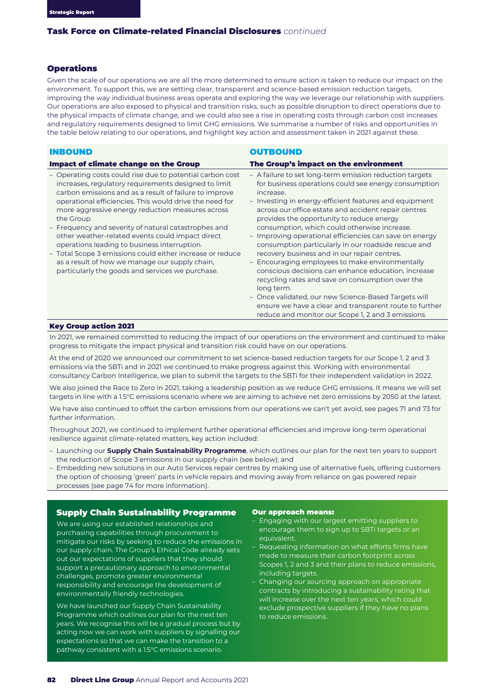## Operations

Given the scale of our operations we are all the more determined to ensure action is taken to reduce our impact on the environment. To support this, we are setting clear, transparent and science-based emission reduction targets, improving the way individual business areas operate and exploring the way we leverage our relationship with suppliers. Our operations are also exposed to physical and transition risks, such as possible disruption to direct operations due to the physical impacts of climate change, and we could also see a rise in operating costs through carbon cost increases and regulatory requirements designed to limit GHG emissions. We summarise a number of risks and opportunities in the table below relating to our operations, and highlight key action and assessment taken in 2021 against these.

#### INBOUND

## **OUTBOUND**

| Impact of climate change on the Group                                                                                                                                                                                                                                                                                                                                                                                                                                                                                                                                                                                                   | The Group's impact on the environment                                                                                                                                                                                                                                                                                                                                                                                                                                                                                                                                                                                                                                                                                                                                                                                                                              |  |
|-----------------------------------------------------------------------------------------------------------------------------------------------------------------------------------------------------------------------------------------------------------------------------------------------------------------------------------------------------------------------------------------------------------------------------------------------------------------------------------------------------------------------------------------------------------------------------------------------------------------------------------------|--------------------------------------------------------------------------------------------------------------------------------------------------------------------------------------------------------------------------------------------------------------------------------------------------------------------------------------------------------------------------------------------------------------------------------------------------------------------------------------------------------------------------------------------------------------------------------------------------------------------------------------------------------------------------------------------------------------------------------------------------------------------------------------------------------------------------------------------------------------------|--|
| - Operating costs could rise due to potential carbon cost<br>increases, regulatory requirements designed to limit<br>carbon emissions and as a result of failure to improve<br>operational efficiencies. This would drive the need for<br>more aggressive energy reduction measures across<br>the Group.<br>- Frequency and severity of natural catastrophes and<br>other weather-related events could impact direct<br>operations leading to business interruption.<br>- Total Scope 3 emissions could either increase or reduce<br>as a result of how we manage our supply chain.<br>particularly the goods and services we purchase. | - A failure to set long-term emission reduction targets<br>for business operations could see energy consumption<br>increase.<br>- Investing in energy-efficient features and equipment<br>across our office estate and accident repair centres<br>provides the opportunity to reduce energy<br>consumption, which could otherwise increase.<br>- Improving operational efficiencies can save on energy<br>consumption particularly in our roadside rescue and<br>recovery business and in our repair centres.<br>- Encouraging employees to make environmentally<br>conscious decisions can enhance education, increase<br>recycling rates and save on consumption over the<br>long term.<br>- Once validated, our new Science-Based Targets will<br>ensure we have a clear and transparent route to further<br>reduce and monitor our Scope 1, 2 and 3 emissions. |  |

#### Key Group action 2021

In 2021, we remained committed to reducing the impact of our operations on the environment and continued to make progress to mitigate the impact physical and transition risk could have on our operations.

At the end of 2020 we announced our commitment to set science-based reduction targets for our Scope 1, 2 and 3 emissions via the SBTi and in 2021 we continued to make progress against this. Working with environmental consultancy Carbon Intelligence, we plan to submit the targets to the SBTi for their independent validation in 2022.

We also joined the Race to Zero in 2021, taking a leadership position as we reduce GHG emissions. It means we will set targets in line with a 1.5°C emissions scenario where we are aiming to achieve net zero emissions by 2050 at the latest.

We have also continued to offset the carbon emissions from our operations we can't yet avoid, see pages 71 and 73 for further information.

Throughout 2021, we continued to implement further operational efficiencies and improve long-term operational resilience against climate-related matters, key action included:

- Launching our **Supply Chain Sustainability Programme**, which outlines our plan for the next ten years to support the reduction of Scope 3 emissions in our supply chain (see below); and
- Embedding new solutions in our Auto Services repair centres by making use of alternative fuels, offering customers the option of choosing 'green' parts in vehicle repairs and moving away from reliance on gas powered repair processes (see page 74 for more information).

### Supply Chain Sustainability Programme

We are using our established relationships and purchasing capabilities through procurement to mitigate our risks by seeking to reduce the emissions in our supply chain. The Group's Ethical Code already sets out our expectations of suppliers that they should support a precautionary approach to environmental challenges, promote greater environmental responsibility and encourage the development of environmentally friendly technologies.

We have launched our Supply Chain Sustainability Programme which outlines our plan for the next ten years. We recognise this will be a gradual process but by acting now we can work with suppliers by signalling our expectations so that we can make the transition to a pathway consistent with a 1.5°C emissions scenario.

#### Our approach means:

- Engaging with our largest emitting suppliers to encourage them to sign up to SBTi targets or an equivalent.
- Requesting information on what efforts firms have made to measure their carbon footprint across Scopes 1, 2 and 3 and their plans to reduce emissions, including targets.
- Changing our sourcing approach on appropriate contracts by introducing a sustainability rating that will increase over the next ten years, which could exclude prospective suppliers if they have no plans to reduce emissions.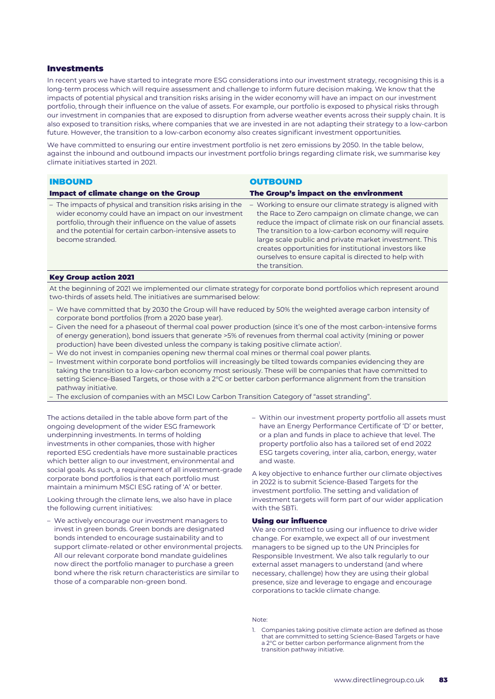## Investments

In recent years we have started to integrate more ESG considerations into our investment strategy, recognising this is a long-term process which will require assessment and challenge to inform future decision making. We know that the impacts of potential physical and transition risks arising in the wider economy will have an impact on our investment portfolio, through their influence on the value of assets. For example, our portfolio is exposed to physical risks through our investment in companies that are exposed to disruption from adverse weather events across their supply chain. It is also exposed to transition risks, where companies that we are invested in are not adapting their strategy to a low-carbon future. However, the transition to a low-carbon economy also creates significant investment opportunities.

We have committed to ensuring our entire investment portfolio is net zero emissions by 2050. In the table below, against the inbound and outbound impacts our investment portfolio brings regarding climate risk, we summarise key climate initiatives started in 2021.

| <b>INBOUND</b>                                                                                                                                                                                                                                                     | <b>OUTBOUND</b>                                                                                                                                                                                                                                                                                                                                                                                                                     |
|--------------------------------------------------------------------------------------------------------------------------------------------------------------------------------------------------------------------------------------------------------------------|-------------------------------------------------------------------------------------------------------------------------------------------------------------------------------------------------------------------------------------------------------------------------------------------------------------------------------------------------------------------------------------------------------------------------------------|
| <b>Impact of climate change on the Group</b>                                                                                                                                                                                                                       | The Group's impact on the environment                                                                                                                                                                                                                                                                                                                                                                                               |
| - The impacts of physical and transition risks arising in the<br>wider economy could have an impact on our investment<br>portfolio, through their influence on the value of assets<br>and the potential for certain carbon-intensive assets to<br>become stranded. | - Working to ensure our climate strategy is aligned with<br>the Race to Zero campaign on climate change, we can<br>reduce the impact of climate risk on our financial assets.<br>The transition to a low-carbon economy will require<br>large scale public and private market investment. This<br>creates opportunities for institutional investors like<br>ourselves to ensure capital is directed to help with<br>the transition. |
| <b><i>VAY CHAIR SALLAH 3031</i></b>                                                                                                                                                                                                                                |                                                                                                                                                                                                                                                                                                                                                                                                                                     |

#### Key Group action 2021

At the beginning of 2021 we implemented our climate strategy for corporate bond portfolios which represent around two-thirds of assets held. The initiatives are summarised below:

- We have committed that by 2030 the Group will have reduced by 50% the weighted average carbon intensity of corporate bond portfolios (from a 2020 base year).
- Given the need for a phaseout of thermal coal power production (since it's one of the most carbon-intensive forms of energy generation), bond issuers that generate >5% of revenues from thermal coal activity (mining or power production) have been divested unless the company is taking positive climate action<sup>1</sup>.
- We do not invest in companies opening new thermal coal mines or thermal coal power plants.
- Investment within corporate bond portfolios will increasingly be tilted towards companies evidencing they are taking the transition to a low-carbon economy most seriously. These will be companies that have committed to setting Science-Based Targets, or those with a 2°C or better carbon performance alignment from the transition pathway initiative.
- The exclusion of companies with an MSCI Low Carbon Transition Category of "asset stranding".

The actions detailed in the table above form part of the ongoing development of the wider ESG framework underpinning investments. In terms of holding investments in other companies, those with higher reported ESG credentials have more sustainable practices which better align to our investment, environmental and social goals. As such, a requirement of all investment-grade corporate bond portfolios is that each portfolio must maintain a minimum MSCI ESG rating of 'A' or better.

Looking through the climate lens, we also have in place the following current initiatives:

- We actively encourage our investment managers to invest in green bonds. Green bonds are designated bonds intended to encourage sustainability and to support climate-related or other environmental projects. All our relevant corporate bond mandate guidelines now direct the portfolio manager to purchase a green bond where the risk return characteristics are similar to those of a comparable non-green bond.
- Within our investment property portfolio all assets must have an Energy Performance Certificate of 'D' or better, or a plan and funds in place to achieve that level. The property portfolio also has a tailored set of end 2022 ESG targets covering, inter alia, carbon, energy, water and waste.

A key objective to enhance further our climate objectives in 2022 is to submit Science-Based Targets for the investment portfolio. The setting and validation of investment targets will form part of our wider application with the SBTi.

#### Using our influence

We are committed to using our influence to drive wider change. For example, we expect all of our investment managers to be signed up to the UN Principles for Responsible Investment. We also talk regularly to our external asset managers to understand (and where necessary, challenge) how they are using their global presence, size and leverage to engage and encourage corporations to tackle climate change.

Note:

1. Companies taking positive climate action are defined as those that are committed to setting Science-Based Targets or have a 2°C or better carbon performance alignment from the transition pathway initiative.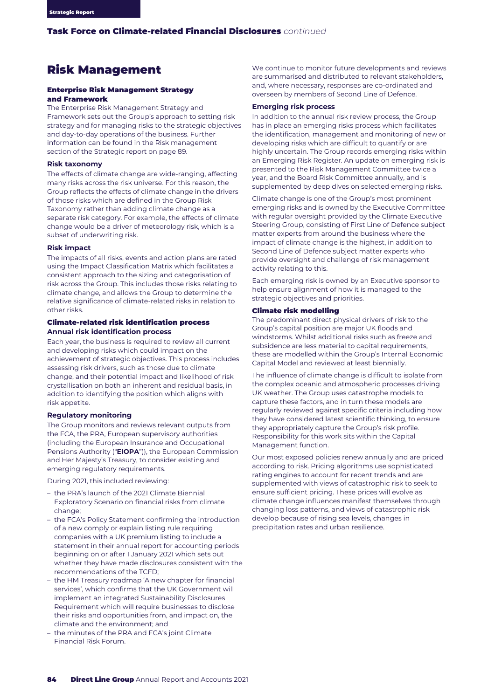## Risk Management

#### Enterprise Risk Management Strategy and Framework

The Enterprise Risk Management Strategy and Framework sets out the Group's approach to setting risk strategy and for managing risks to the strategic objectives and day-to-day operations of the business. Further information can be found in the Risk management section of the Strategic report on page 89.

#### **Risk taxonomy**

The effects of climate change are wide-ranging, affecting many risks across the risk universe. For this reason, the Group reflects the effects of climate change in the drivers of those risks which are defined in the Group Risk Taxonomy rather than adding climate change as a separate risk category. For example, the effects of climate change would be a driver of meteorology risk, which is a subset of underwriting risk.

#### **Risk impact**

The impacts of all risks, events and action plans are rated using the Impact Classification Matrix which facilitates a consistent approach to the sizing and categorisation of risk across the Group. This includes those risks relating to climate change, and allows the Group to determine the relative significance of climate-related risks in relation to other risks.

### Climate-related risk identification process **Annual risk identification process**

Each year, the business is required to review all current and developing risks which could impact on the achievement of strategic objectives. This process includes assessing risk drivers, such as those due to climate change, and their potential impact and likelihood of risk crystallisation on both an inherent and residual basis, in addition to identifying the position which aligns with risk appetite.

#### **Regulatory monitoring**

The Group monitors and reviews relevant outputs from the FCA, the PRA, European supervisory authorities (including the European Insurance and Occupational Pensions Authority ("**EIOPA**")), the European Commission and Her Majesty's Treasury, to consider existing and emerging regulatory requirements.

During 2021, this included reviewing:

- the PRA's launch of the 2021 Climate Biennial Exploratory Scenario on financial risks from climate change;
- the FCA's Policy Statement confirming the introduction of a new comply or explain listing rule requiring companies with a UK premium listing to include a statement in their annual report for accounting periods beginning on or after 1 January 2021 which sets out whether they have made disclosures consistent with the recommendations of the TCFD;
- the HM Treasury roadmap 'A new chapter for financial services', which confirms that the UK Government will implement an integrated Sustainability Disclosures Requirement which will require businesses to disclose their risks and opportunities from, and impact on, the climate and the environment; and
- the minutes of the PRA and FCA's joint Climate Financial Risk Forum.

We continue to monitor future developments and reviews are summarised and distributed to relevant stakeholders, and, where necessary, responses are co-ordinated and overseen by members of Second Line of Defence.

#### **Emerging risk process**

In addition to the annual risk review process, the Group has in place an emerging risks process which facilitates the identification, management and monitoring of new or developing risks which are difficult to quantify or are highly uncertain. The Group records emerging risks within an Emerging Risk Register. An update on emerging risk is presented to the Risk Management Committee twice a year, and the Board Risk Committee annually, and is supplemented by deep dives on selected emerging risks.

Climate change is one of the Group's most prominent emerging risks and is owned by the Executive Committee with regular oversight provided by the Climate Executive Steering Group, consisting of First Line of Defence subject matter experts from around the business where the impact of climate change is the highest, in addition to Second Line of Defence subject matter experts who provide oversight and challenge of risk management activity relating to this.

Each emerging risk is owned by an Executive sponsor to help ensure alignment of how it is managed to the strategic objectives and priorities.

#### Climate risk modelling

The predominant direct physical drivers of risk to the Group's capital position are major UK floods and windstorms. Whilst additional risks such as freeze and subsidence are less material to capital requirements, these are modelled within the Group's Internal Economic Capital Model and reviewed at least biennially.

The influence of climate change is difficult to isolate from the complex oceanic and atmospheric processes driving UK weather. The Group uses catastrophe models to capture these factors, and in turn these models are regularly reviewed against specific criteria including how they have considered latest scientific thinking, to ensure they appropriately capture the Group's risk profile. Responsibility for this work sits within the Capital Management function.

Our most exposed policies renew annually and are priced according to risk. Pricing algorithms use sophisticated rating engines to account for recent trends and are supplemented with views of catastrophic risk to seek to ensure sufficient pricing. These prices will evolve as climate change influences manifest themselves through changing loss patterns, and views of catastrophic risk develop because of rising sea levels, changes in precipitation rates and urban resilience.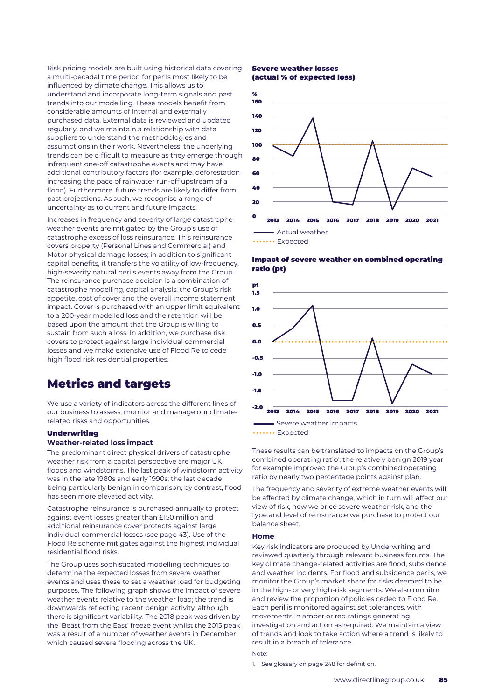Risk pricing models are built using historical data covering a multi-decadal time period for perils most likely to be influenced by climate change. This allows us to understand and incorporate long-term signals and past trends into our modelling. These models benefit from considerable amounts of internal and externally purchased data. External data is reviewed and updated regularly, and we maintain a relationship with data suppliers to understand the methodologies and assumptions in their work. Nevertheless, the underlying trends can be difficult to measure as they emerge through infrequent one-off catastrophe events and may have additional contributory factors (for example, deforestation increasing the pace of rainwater run-off upstream of a flood). Furthermore, future trends are likely to differ from past projections. As such, we recognise a range of uncertainty as to current and future impacts.

Increases in frequency and severity of large catastrophe weather events are mitigated by the Group's use of catastrophe excess of loss reinsurance. This reinsurance covers property (Personal Lines and Commercial) and Motor physical damage losses; in addition to significant capital benefits, it transfers the volatility of low-frequency, high-severity natural perils events away from the Group. The reinsurance purchase decision is a combination of catastrophe modelling, capital analysis, the Group's risk appetite, cost of cover and the overall income statement impact. Cover is purchased with an upper limit equivalent to a 200-year modelled loss and the retention will be based upon the amount that the Group is willing to sustain from such a loss. In addition, we purchase risk covers to protect against large individual commercial losses and we make extensive use of Flood Re to cede high flood risk residential properties.

## Metrics and targets

We use a variety of indicators across the different lines of our business to assess, monitor and manage our climaterelated risks and opportunities.

## Underwriting

#### **Weather-related loss impact**

The predominant direct physical drivers of catastrophe weather risk from a capital perspective are major UK floods and windstorms. The last peak of windstorm activity was in the late 1980s and early 1990s; the last decade being particularly benign in comparison, by contrast, flood has seen more elevated activity.

Catastrophe reinsurance is purchased annually to protect against event losses greater than £150 million and additional reinsurance cover protects against large individual commercial losses (see page 43). Use of the Flood Re scheme mitigates against the highest individual residential flood risks.

The Group uses sophisticated modelling techniques to determine the expected losses from severe weather events and uses these to set a weather load for budgeting purposes. The following graph shows the impact of severe weather events relative to the weather load; the trend is downwards reflecting recent benign activity, although there is significant variability. The 2018 peak was driven by the 'Beast from the East' freeze event whilst the 2015 peak was a result of a number of weather events in December which caused severe flooding across the UK.

#### Severe weather losses (actual % of expected loss)



Impact of severe weather on combined operating ratio (pt)



...... Expected

These results can be translated to impacts on the Group's combined operating ratio<sup>1</sup>; the relatively benign 2019 year for example improved the Group's combined operating ratio by nearly two percentage points against plan.

The frequency and severity of extreme weather events will be affected by climate change, which in turn will affect our view of risk, how we price severe weather risk, and the type and level of reinsurance we purchase to protect our balance sheet.

#### **Home**

Key risk indicators are produced by Underwriting and reviewed quarterly through relevant business forums. The key climate change-related activities are flood, subsidence and weather incidents. For flood and subsidence perils, we monitor the Group's market share for risks deemed to be in the high- or very high-risk segments. We also monitor and review the proportion of policies ceded to Flood Re. Each peril is monitored against set tolerances, with movements in amber or red ratings generating investigation and action as required. We maintain a view of trends and look to take action where a trend is likely to result in a breach of tolerance.

#### Note:

1. See glossary on page 248 for definition.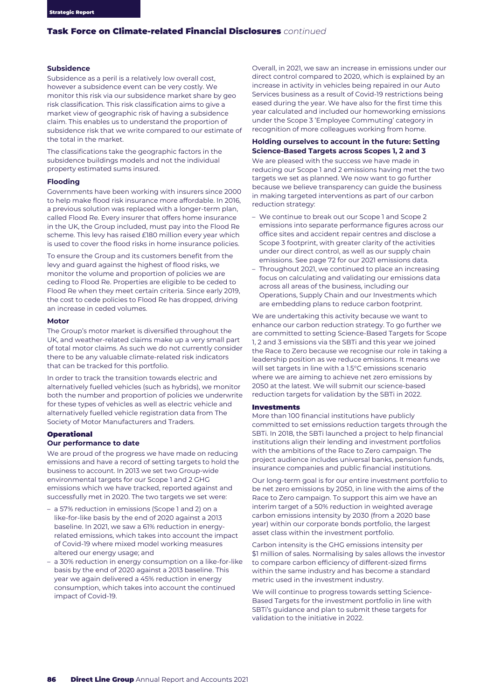### **Subsidence**

Subsidence as a peril is a relatively low overall cost, however a subsidence event can be very costly. We monitor this risk via our subsidence market share by geo risk classification. This risk classification aims to give a market view of geographic risk of having a subsidence claim. This enables us to understand the proportion of subsidence risk that we write compared to our estimate of the total in the market.

The classifications take the geographic factors in the subsidence buildings models and not the individual property estimated sums insured.

#### **Flooding**

Governments have been working with insurers since 2000 to help make flood risk insurance more affordable. In 2016, a previous solution was replaced with a longer-term plan, called Flood Re. Every insurer that offers home insurance in the UK, the Group included, must pay into the Flood Re scheme. This levy has raised £180 million every year which is used to cover the flood risks in home insurance policies.

To ensure the Group and its customers benefit from the levy and guard against the highest of flood risks, we monitor the volume and proportion of policies we are ceding to Flood Re. Properties are eligible to be ceded to Flood Re when they meet certain criteria. Since early 2019, the cost to cede policies to Flood Re has dropped, driving an increase in ceded volumes.

#### **Motor**

The Group's motor market is diversified throughout the UK, and weather-related claims make up a very small part of total motor claims. As such we do not currently consider there to be any valuable climate-related risk indicators that can be tracked for this portfolio.

In order to track the transition towards electric and alternatively fuelled vehicles (such as hybrids), we monitor both the number and proportion of policies we underwrite for these types of vehicles as well as electric vehicle and alternatively fuelled vehicle registration data from The Society of Motor Manufacturers and Traders.

#### Operational

#### **Our performance to date**

We are proud of the progress we have made on reducing emissions and have a record of setting targets to hold the business to account. In 2013 we set two Group-wide environmental targets for our Scope 1 and 2 GHG emissions which we have tracked, reported against and successfully met in 2020. The two targets we set were:

- a 57% reduction in emissions (Scope 1 and 2) on a like-for-like basis by the end of 2020 against a 2013 baseline. In 2021, we saw a 61% reduction in energyrelated emissions, which takes into account the impact of Covid-19 where mixed model working measures altered our energy usage; and
- a 30% reduction in energy consumption on a like-for-like basis by the end of 2020 against a 2013 baseline. This year we again delivered a 45% reduction in energy consumption, which takes into account the continued impact of Covid-19.

Overall, in 2021, we saw an increase in emissions under our direct control compared to 2020, which is explained by an increase in activity in vehicles being repaired in our Auto Services business as a result of Covid-19 restrictions being eased during the year. We have also for the first time this year calculated and included our homeworking emissions under the Scope 3 'Employee Commuting' category in recognition of more colleagues working from home.

#### **Holding ourselves to account in the future: Setting Science-Based Targets across Scopes 1, 2 and 3**

We are pleased with the success we have made in reducing our Scope 1 and 2 emissions having met the two targets we set as planned. We now want to go further because we believe transparency can guide the business in making targeted interventions as part of our carbon reduction strategy:

- We continue to break out our Scope 1 and Scope 2 emissions into separate performance figures across our office sites and accident repair centres and disclose a Scope 3 footprint, with greater clarity of the activities under our direct control, as well as our supply chain emissions. See page 72 for our 2021 emissions data.
- Throughout 2021, we continued to place an increasing focus on calculating and validating our emissions data across all areas of the business, including our Operations, Supply Chain and our Investments which are embedding plans to reduce carbon footprint.

We are undertaking this activity because we want to enhance our carbon reduction strategy. To go further we are committed to setting Science-Based Targets for Scope 1, 2 and 3 emissions via the SBTi and this year we joined the Race to Zero because we recognise our role in taking a leadership position as we reduce emissions. It means we will set targets in line with a 1.5°C emissions scenario where we are aiming to achieve net zero emissions by 2050 at the latest. We will submit our science-based reduction targets for validation by the SBTi in 2022.

#### Investments

More than 100 financial institutions have publicly committed to set emissions reduction targets through the SBTi. In 2018, the SBTi launched a project to help financial institutions align their lending and investment portfolios with the ambitions of the Race to Zero campaign. The project audience includes universal banks, pension funds, insurance companies and public financial institutions.

Our long-term goal is for our entire investment portfolio to be net zero emissions by 2050, in line with the aims of the Race to Zero campaign. To support this aim we have an interim target of a 50% reduction in weighted average carbon emissions intensity by 2030 (from a 2020 base year) within our corporate bonds portfolio, the largest asset class within the investment portfolio.

Carbon intensity is the GHG emissions intensity per \$1 million of sales. Normalising by sales allows the investor to compare carbon efficiency of different-sized firms within the same industry and has become a standard metric used in the investment industry.

We will continue to progress towards setting Science-Based Targets for the investment portfolio in line with SBTi's guidance and plan to submit these targets for validation to the initiative in 2022.